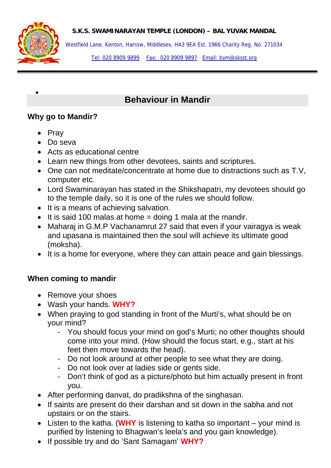**S.K.S. SWAMINARAYAN TEMPLE (LONDON) – BAL YUVAK MANDAL** 



•

Westfield Lane, Kenton, Harrow, Middlesex, HA3 9EA Est. 1966 Charity Reg. No. 271034

Tel: 020 8909 9899 Fax: 020 8909 9897 Email: bym@sksst.org

# **Behaviour in Mandir**

#### **Why go to Mandir?**

- Pray
- Do seva
- Acts as educational centre
- Learn new things from other devotees, saints and scriptures.
- One can not meditate/concentrate at home due to distractions such as T.V, computer etc.
- Lord Swaminarayan has stated in the Shikshapatri, my devotees should go to the temple daily, so it is one of the rules we should follow.
- It is a means of achieving salvation.
- $\bullet$  It is said 100 malas at home = doing 1 mala at the mandir.
- Maharaj in G.M.P Vachanamrut 27 said that even if your vairagya is weak and upasana is maintained then the soul will achieve its ultimate good (moksha).
- It is a home for everyone, where they can attain peace and gain blessings.

## **When coming to mandir**

- Remove your shoes
- Wash your hands. **WHY?**
- When praying to god standing in front of the Murti's, what should be on your mind?
	- You should focus your mind on god's Murti; no other thoughts should come into your mind. (How should the focus start, e.g., start at his feet then move towards the head).
	- Do not look around at other people to see what they are doing.
	- Do not look over at ladies side or gents side.
	- Don't think of god as a picture/photo but him actually present in front you.
- After performing danvat, do pradikshna of the singhasan.
- If saints are present do their darshan and sit down in the sabha and not upstairs or on the stairs.
- Listen to the katha. (**WHY** is listening to katha so important your mind is purified by listening to Bhagwan's leela's and you gain knowledge).
- If possible try and do 'Sant Samagam' **WHY?**